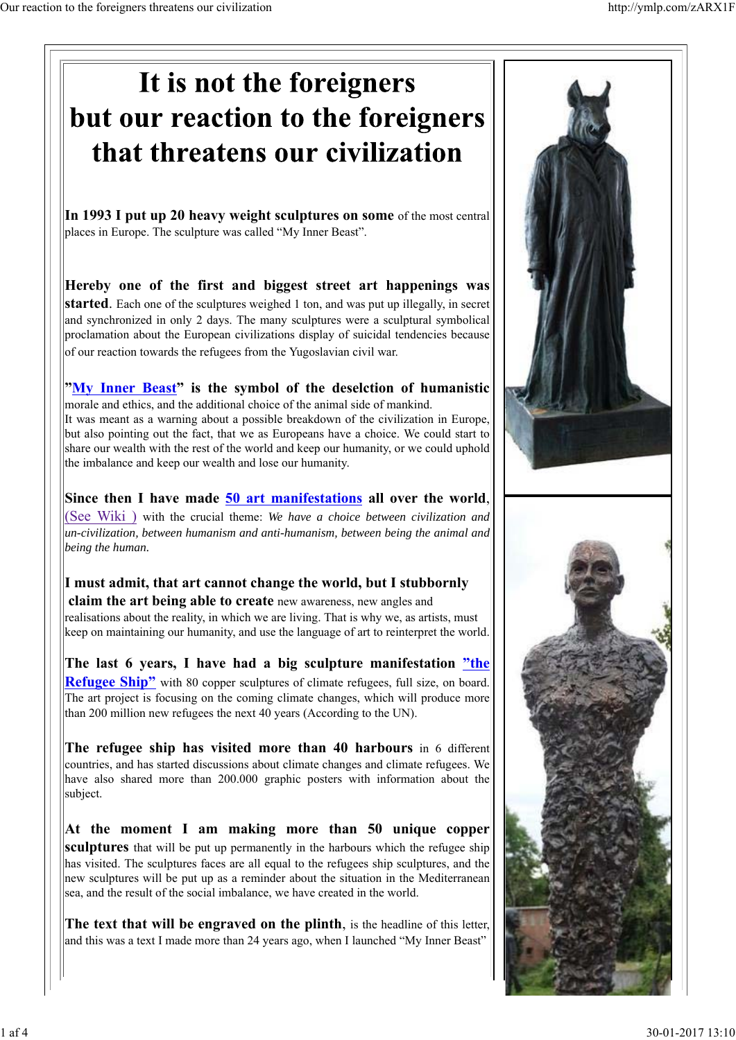## It is not the foreigners but our reaction to the foreigners that threatens our civilization **In 1993 I put up 20 heavy weight sculptures on some** of the most central places in Europe. The sculpture was called "My Inner Beast". **Hereby one of the first and biggest street art happenings was started**. Each one of the sculptures weighed 1 ton, and was put up illegally, in secret and synchronized in only 2 days. The many sculptures were a sculptural symbolical proclamation about the European civilizations display of suicidal tendencies because of our reaction towards the refugees from the Yugoslavian civil war. **"My Inner Beast" is the symbol of the deselction of humanistic** morale and ethics, and the additional choice of the animal side of mankind. It was meant as a warning about a possible breakdown of the civilization in Europe, but also pointing out the fact, that we as Europeans have a choice. We could start to share our wealth with the rest of the world and keep our humanity, or we could uphold the imbalance and keep our wealth and lose our humanity. **Since then I have made 50 art manifestations all over the world**, (See Wiki ) with the crucial theme: *We have a choice between civilization and un-civilization, between humanism and anti-humanism, between being the animal and being the human.* **I must admit, that art cannot change the world, but I stubbornly claim the art being able to create** new awareness, new angles and realisations about the reality, in which we are living. That is why we, as artists, must keep on maintaining our humanity, and use the language of art to reinterpret the world. **The last 6 years, I have had a big sculpture manifestation "the Refugee Ship"** with 80 copper sculptures of climate refugees, full size, on board. The art project is focusing on the coming climate changes, which will produce more than 200 million new refugees the next 40 years (According to the UN). **The refugee ship has visited more than 40 harbours** in 6 different countries, and has started discussions about climate changes and climate refugees. We have also shared more than 200.000 graphic posters with information about the subject. **At the moment I am making more than 50 unique copper sculptures** that will be put up permanently in the harbours which the refugee ship has visited. The sculptures faces are all equal to the refugees ship sculptures, and the

**The text that will be engraved on the plinth**, is the headline of this letter, and this was a text I made more than 24 years ago, when I launched "My Inner Beast"

new sculptures will be put up as a reminder about the situation in the Mediterranean

sea, and the result of the social imbalance, we have created in the world.

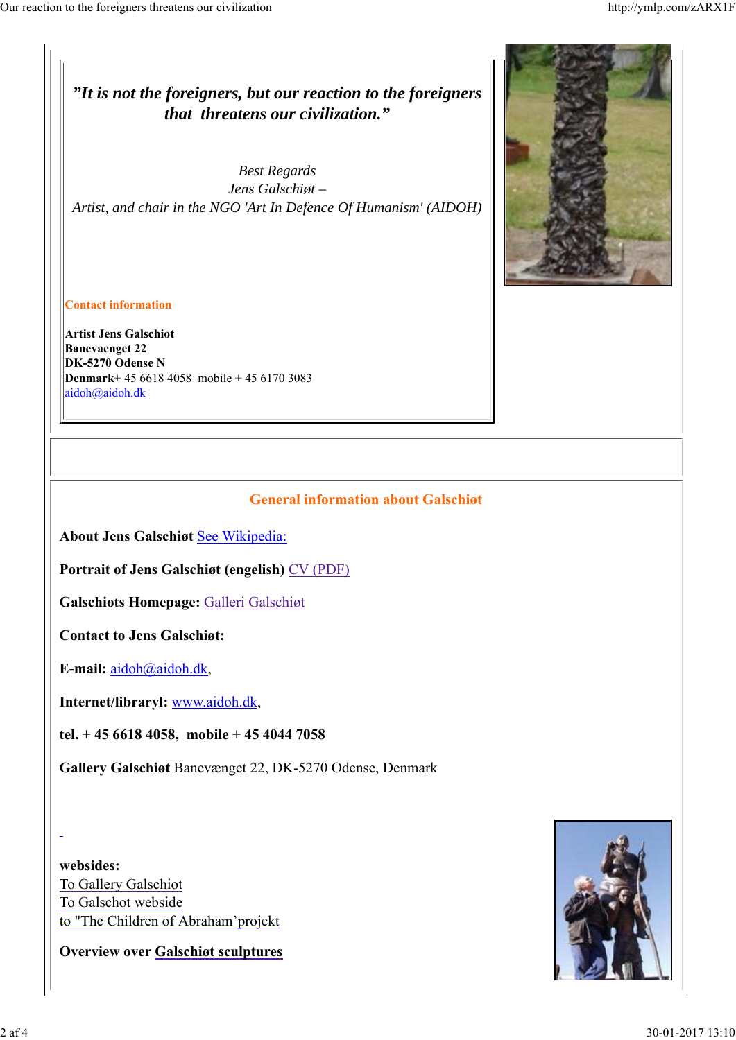*"It is not the foreigners, but our reaction to the foreigners that threatens our civilization."*

*Best Regards Jens Galschiøt – Artist, and chair in the NGO 'Art In Defence Of Humanism' (AIDOH)*



**Contact information**

**Artist Jens Galschiot Banevaenget 22 DK-5270 Odense N Denmark**+ 45 6618 4058 mobile + 45 6170 3083 aidoh@aidoh.dk

## **General information about Galschiøt**

**About Jens Galschiøt** See Wikipedia:

**Portrait of Jens Galschiøt (engelish)** CV (PDF)

**Galschiots Homepage:** Galleri Galschiøt

**Contact to Jens Galschiøt:**

**E-mail:** aidoh@aidoh.dk,

**Internet/libraryl:** www.aidoh.dk,

**tel. + 45 6618 4058, mobile + 45 4044 7058**

**Gallery Galschiøt** Banevænget 22, DK-5270 Odense, Denmark

**websides:** To Gallery Galschiot To Galschot webside to "The Children of Abraham'projekt

**Overview over Galschiøt sculptures**

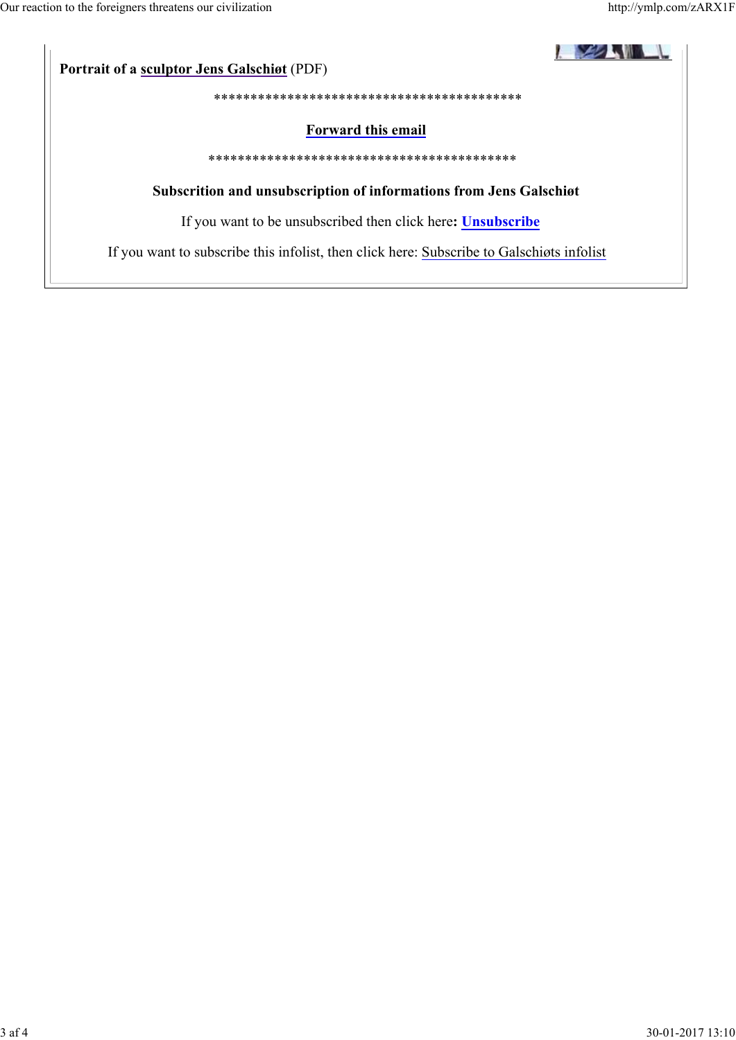